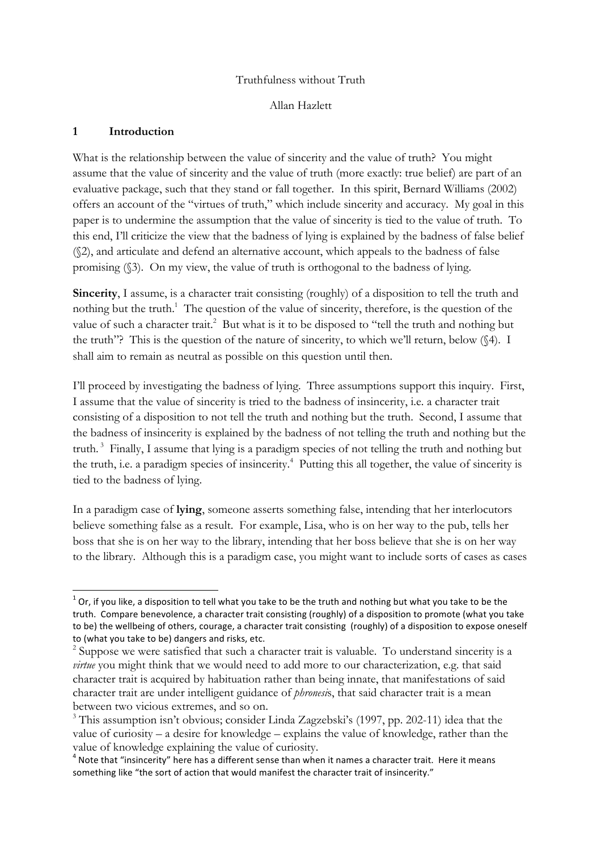#### Truthfulness without Truth

Allan Hazlett

#### **1 Introduction**

!!!!!!!!!!!!!!!!!!!!!!!!!!!!!!!!!!!!!!!!!!!!!!!!!!!!!!!!!!!!

What is the relationship between the value of sincerity and the value of truth? You might assume that the value of sincerity and the value of truth (more exactly: true belief) are part of an evaluative package, such that they stand or fall together. In this spirit, Bernard Williams (2002) offers an account of the "virtues of truth," which include sincerity and accuracy. My goal in this paper is to undermine the assumption that the value of sincerity is tied to the value of truth. To this end, I'll criticize the view that the badness of lying is explained by the badness of false belief (§2), and articulate and defend an alternative account, which appeals to the badness of false promising (§3). On my view, the value of truth is orthogonal to the badness of lying.

Sincerity, I assume, is a character trait consisting (roughly) of a disposition to tell the truth and nothing but the truth.<sup>1</sup> The question of the value of sincerity, therefore, is the question of the value of such a character trait.<sup>2</sup> But what is it to be disposed to "tell the truth and nothing but the truth"? This is the question of the nature of sincerity, to which we'll return, below (§4). I shall aim to remain as neutral as possible on this question until then.

I'll proceed by investigating the badness of lying. Three assumptions support this inquiry. First, I assume that the value of sincerity is tried to the badness of insincerity, i.e. a character trait consisting of a disposition to not tell the truth and nothing but the truth. Second, I assume that the badness of insincerity is explained by the badness of not telling the truth and nothing but the truth.<sup>3</sup> Finally, I assume that lying is a paradigm species of not telling the truth and nothing but the truth, i.e. a paradigm species of insincerity. 4 Putting this all together, the value of sincerity is tied to the badness of lying.

In a paradigm case of **lying**, someone asserts something false, intending that her interlocutors believe something false as a result. For example, Lisa, who is on her way to the pub, tells her boss that she is on her way to the library, intending that her boss believe that she is on her way to the library. Although this is a paradigm case, you might want to include sorts of cases as cases

 $1$  Or, if you like, a disposition to tell what you take to be the truth and nothing but what you take to be the truth. Compare benevolence, a character trait consisting (roughly) of a disposition to promote (what you take to be) the wellbeing of others, courage, a character trait consisting (roughly) of a disposition to expose oneself to (what you take to be) dangers and risks, etc.

<sup>&</sup>lt;sup>2</sup> Suppose we were satisfied that such a character trait is valuable. To understand sincerity is a *virtue* you might think that we would need to add more to our characterization, e.g. that said character trait is acquired by habituation rather than being innate, that manifestations of said character trait are under intelligent guidance of *phronesi*s, that said character trait is a mean between two vicious extremes, and so on.

<sup>&</sup>lt;sup>3</sup> This assumption isn't obvious; consider Linda Zagzebski's (1997, pp. 202-11) idea that the value of curiosity – a desire for knowledge – explains the value of knowledge, rather than the value of knowledge explaining the value of curiosity.

<sup>&</sup>lt;sup>4</sup> Note that "insincerity" here has a different sense than when it names a character trait. Here it means something like "the sort of action that would manifest the character trait of insincerity."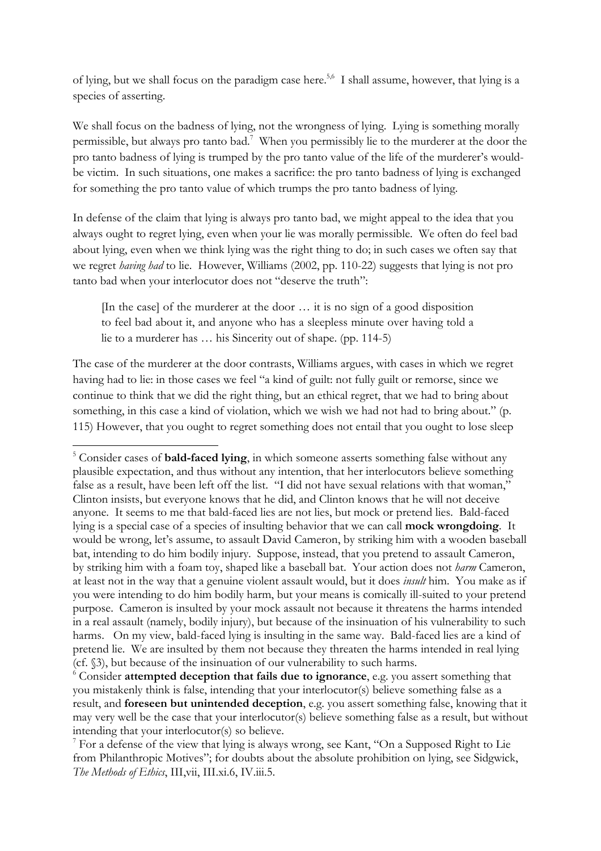of lying, but we shall focus on the paradigm case here.<sup>5,6</sup> I shall assume, however, that lying is a species of asserting.

We shall focus on the badness of lying, not the wrongness of lying. Lying is something morally permissible, but always pro tanto bad.<sup>7</sup> When you permissibly lie to the murderer at the door the pro tanto badness of lying is trumped by the pro tanto value of the life of the murderer's wouldbe victim. In such situations, one makes a sacrifice: the pro tanto badness of lying is exchanged for something the pro tanto value of which trumps the pro tanto badness of lying.

In defense of the claim that lying is always pro tanto bad, we might appeal to the idea that you always ought to regret lying, even when your lie was morally permissible. We often do feel bad about lying, even when we think lying was the right thing to do; in such cases we often say that we regret *having had* to lie. However, Williams (2002, pp. 110-22) suggests that lying is not pro tanto bad when your interlocutor does not "deserve the truth":

[In the case] of the murderer at the door … it is no sign of a good disposition to feel bad about it, and anyone who has a sleepless minute over having told a lie to a murderer has … his Sincerity out of shape. (pp. 114-5)

The case of the murderer at the door contrasts, Williams argues, with cases in which we regret having had to lie: in those cases we feel "a kind of guilt: not fully guilt or remorse, since we continue to think that we did the right thing, but an ethical regret, that we had to bring about something, in this case a kind of violation, which we wish we had not had to bring about." (p. 115) However, that you ought to regret something does not entail that you ought to lose sleep

<sup>5</sup> Consider cases of **bald-faced lying**, in which someone asserts something false without any plausible expectation, and thus without any intention, that her interlocutors believe something false as a result, have been left off the list. "I did not have sexual relations with that woman," Clinton insists, but everyone knows that he did, and Clinton knows that he will not deceive anyone. It seems to me that bald-faced lies are not lies, but mock or pretend lies. Bald-faced lying is a special case of a species of insulting behavior that we can call **mock wrongdoing**. It would be wrong, let's assume, to assault David Cameron, by striking him with a wooden baseball bat, intending to do him bodily injury. Suppose, instead, that you pretend to assault Cameron, by striking him with a foam toy, shaped like a baseball bat. Your action does not *harm* Cameron, at least not in the way that a genuine violent assault would, but it does *insult* him. You make as if you were intending to do him bodily harm, but your means is comically ill-suited to your pretend purpose. Cameron is insulted by your mock assault not because it threatens the harms intended in a real assault (namely, bodily injury), but because of the insinuation of his vulnerability to such harms. On my view, bald-faced lying is insulting in the same way. Bald-faced lies are a kind of pretend lie. We are insulted by them not because they threaten the harms intended in real lying (cf. §3), but because of the insinuation of our vulnerability to such harms.

<sup>6</sup> Consider **attempted deception that fails due to ignorance**, e.g. you assert something that you mistakenly think is false, intending that your interlocutor(s) believe something false as a result, and **foreseen but unintended deception**, e.g. you assert something false, knowing that it may very well be the case that your interlocutor(s) believe something false as a result, but without intending that your interlocutor(s) so believe.<br><sup>7</sup> For a defense of the view that lying is always wrong, see Kant, "On a Supposed Right to Lie

from Philanthropic Motives"; for doubts about the absolute prohibition on lying, see Sidgwick, *The Methods of Ethics*, III,vii, III.xi.6, IV.iii.5.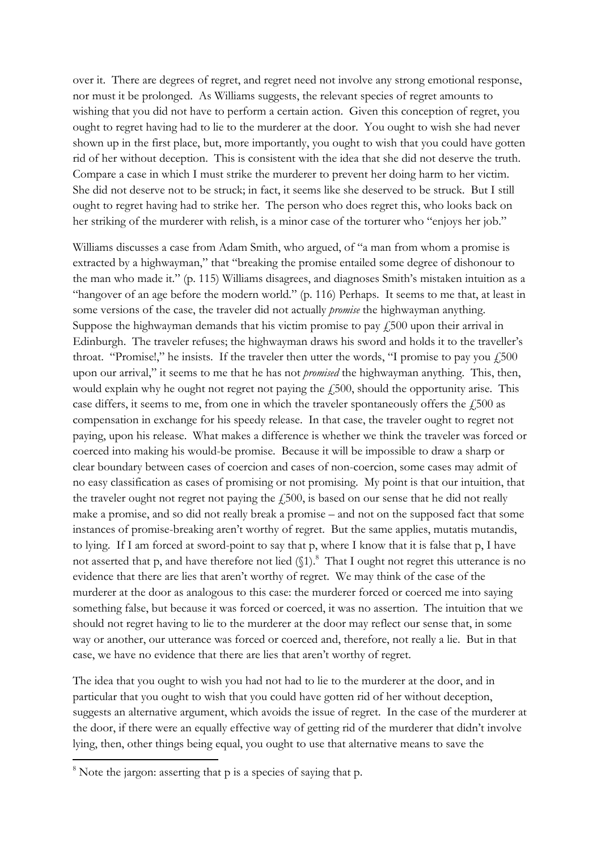over it. There are degrees of regret, and regret need not involve any strong emotional response, nor must it be prolonged. As Williams suggests, the relevant species of regret amounts to wishing that you did not have to perform a certain action. Given this conception of regret, you ought to regret having had to lie to the murderer at the door. You ought to wish she had never shown up in the first place, but, more importantly, you ought to wish that you could have gotten rid of her without deception. This is consistent with the idea that she did not deserve the truth. Compare a case in which I must strike the murderer to prevent her doing harm to her victim. She did not deserve not to be struck; in fact, it seems like she deserved to be struck. But I still ought to regret having had to strike her. The person who does regret this, who looks back on her striking of the murderer with relish, is a minor case of the torturer who "enjoys her job."

Williams discusses a case from Adam Smith, who argued, of "a man from whom a promise is extracted by a highwayman," that "breaking the promise entailed some degree of dishonour to the man who made it." (p. 115) Williams disagrees, and diagnoses Smith's mistaken intuition as a "hangover of an age before the modern world." (p. 116) Perhaps. It seems to me that, at least in some versions of the case, the traveler did not actually *promise* the highwayman anything. Suppose the highwayman demands that his victim promise to pay  $f_1$ 500 upon their arrival in Edinburgh. The traveler refuses; the highwayman draws his sword and holds it to the traveller's throat. "Promise!," he insists. If the traveler then utter the words, "I promise to pay you  $f_{1500}$ upon our arrival," it seems to me that he has not *promised* the highwayman anything. This, then, would explain why he ought not regret not paying the  $\ddot{\text{1500}}$ , should the opportunity arise. This case differs, it seems to me, from one in which the traveler spontaneously offers the  $\dot{f}$ , 500 as compensation in exchange for his speedy release. In that case, the traveler ought to regret not paying, upon his release. What makes a difference is whether we think the traveler was forced or coerced into making his would-be promise. Because it will be impossible to draw a sharp or clear boundary between cases of coercion and cases of non-coercion, some cases may admit of no easy classification as cases of promising or not promising. My point is that our intuition, that the traveler ought not regret not paying the  $\ell$ 500, is based on our sense that he did not really make a promise, and so did not really break a promise – and not on the supposed fact that some instances of promise-breaking aren't worthy of regret. But the same applies, mutatis mutandis, to lying. If I am forced at sword-point to say that p, where I know that it is false that p, I have not asserted that p, and have therefore not lied  $(\S1)$ .<sup>8</sup> That I ought not regret this utterance is no evidence that there are lies that aren't worthy of regret. We may think of the case of the murderer at the door as analogous to this case: the murderer forced or coerced me into saying something false, but because it was forced or coerced, it was no assertion. The intuition that we should not regret having to lie to the murderer at the door may reflect our sense that, in some way or another, our utterance was forced or coerced and, therefore, not really a lie. But in that case, we have no evidence that there are lies that aren't worthy of regret.

The idea that you ought to wish you had not had to lie to the murderer at the door, and in particular that you ought to wish that you could have gotten rid of her without deception, suggests an alternative argument, which avoids the issue of regret. In the case of the murderer at the door, if there were an equally effective way of getting rid of the murderer that didn't involve lying, then, other things being equal, you ought to use that alternative means to save the

 $8$  Note the jargon: asserting that p is a species of saying that p.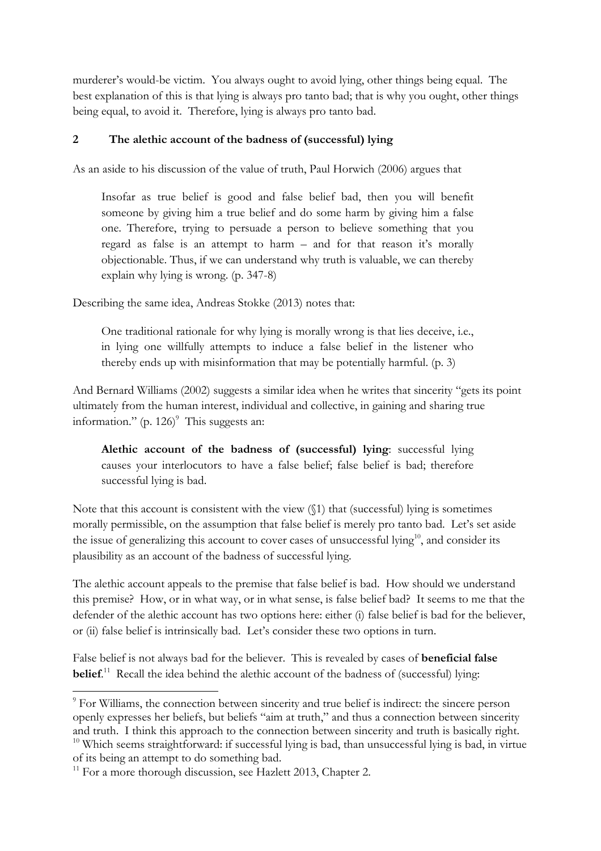murderer's would-be victim. You always ought to avoid lying, other things being equal. The best explanation of this is that lying is always pro tanto bad; that is why you ought, other things being equal, to avoid it. Therefore, lying is always pro tanto bad.

# **2 The alethic account of the badness of (successful) lying**

As an aside to his discussion of the value of truth, Paul Horwich (2006) argues that

Insofar as true belief is good and false belief bad, then you will benefit someone by giving him a true belief and do some harm by giving him a false one. Therefore, trying to persuade a person to believe something that you regard as false is an attempt to harm – and for that reason it's morally objectionable. Thus, if we can understand why truth is valuable, we can thereby explain why lying is wrong. (p. 347-8)

Describing the same idea, Andreas Stokke (2013) notes that:

One traditional rationale for why lying is morally wrong is that lies deceive, i.e., in lying one willfully attempts to induce a false belief in the listener who thereby ends up with misinformation that may be potentially harmful. (p. 3)

And Bernard Williams (2002) suggests a similar idea when he writes that sincerity "gets its point ultimately from the human interest, individual and collective, in gaining and sharing true information."  $(p. 126)$ <sup>9</sup> This suggests an:

**Alethic account of the badness of (successful) lying**: successful lying causes your interlocutors to have a false belief; false belief is bad; therefore successful lying is bad.

Note that this account is consistent with the view (§1) that (successful) lying is sometimes morally permissible, on the assumption that false belief is merely pro tanto bad. Let's set aside the issue of generalizing this account to cover cases of unsuccessful lying<sup>10</sup>, and consider its plausibility as an account of the badness of successful lying.

The alethic account appeals to the premise that false belief is bad. How should we understand this premise? How, or in what way, or in what sense, is false belief bad? It seems to me that the defender of the alethic account has two options here: either (i) false belief is bad for the believer, or (ii) false belief is intrinsically bad. Let's consider these two options in turn.

False belief is not always bad for the believer. This is revealed by cases of **beneficial false belief.**<sup>11</sup> Recall the idea behind the alethic account of the badness of (successful) lying:

<sup>&</sup>lt;sup>9</sup> For Williams, the connection between sincerity and true belief is indirect: the sincere person openly expresses her beliefs, but beliefs "aim at truth," and thus a connection between sincerity and truth. I think this approach to the connection between sincerity and truth is basically right.  $10$  Which seems straightforward: if successful lying is bad, than unsuccessful lying is bad, in virtue of its being an attempt to do something bad.

 $11$  For a more thorough discussion, see Hazlett 2013, Chapter 2.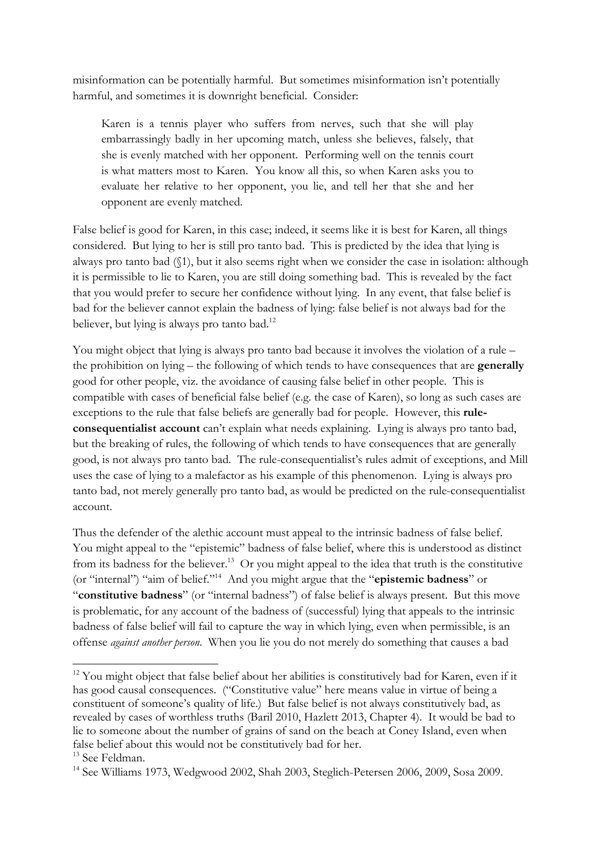misinformation can be potentially harmful. But sometimes misinformation isn't potentially harmful, and sometimes it is downright beneficial. Consider:

Karen is a tennis player who suffers from nerves, such that she will play embarrassingly badly in her upcoming match, unless she believes, falsely, that she is evenly matched with her opponent. Performing well on the tennis court is what matters most to Karen. You know all this, so when Karen asks you to evaluate her relative to her opponent, you lie, and tell her that she and her opponent are evenly matched.

False belief is good for Karen, in this case; indeed, it seems like it is best for Karen, all things considered. But lying to her is still pro tanto bad. This is predicted by the idea that lying is always pro tanto bad (§1), but it also seems right when we consider the case in isolation: although it is permissible to lie to Karen, you are still doing something bad. This is revealed by the fact that you would prefer to secure her confidence without lying. In any event, that false belief is bad for the believer cannot explain the badness of lying: false belief is not always bad for the believer, but lying is always pro tanto bad.<sup>12</sup>

You might object that lying is always pro tanto bad because it involves the violation of a rule – the prohibition on lying – the following of which tends to have consequences that are **generally** good for other people, viz. the avoidance of causing false belief in other people. This is compatible with cases of beneficial false belief (e.g. the case of Karen), so long as such cases are exceptions to the rule that false beliefs are generally bad for people. However, this **ruleconsequentialist account** can't explain what needs explaining. Lying is always pro tanto bad, but the breaking of rules, the following of which tends to have consequences that are generally good, is not always pro tanto bad. The rule-consequentialist's rules admit of exceptions, and Mill uses the case of lying to a malefactor as his example of this phenomenon. Lying is always pro tanto bad, not merely generally pro tanto bad, as would be predicted on the rule-consequentialist account.

Thus the defender of the alethic account must appeal to the intrinsic badness of false belief. You might appeal to the "epistemic" badness of false belief, where this is understood as distinct from its badness for the believer.<sup>13</sup> Or you might appeal to the idea that truth is the constitutive (or "internal") "aim of belief."14 And you might argue that the "**epistemic badness**" or "**constitutive badness**" (or "internal badness") of false belief is always present. But this move is problematic, for any account of the badness of (successful) lying that appeals to the intrinsic badness of false belief will fail to capture the way in which lying, even when permissible, is an offense *against another person*. When you lie you do not merely do something that causes a bad

<sup>&</sup>lt;sup>12</sup> You might object that false belief about her abilities is constitutively bad for Karen, even if it has good causal consequences. ("Constitutive value" here means value in virtue of being a constituent of someone's quality of life.) But false belief is not always constitutively bad, as revealed by cases of worthless truths (Baril 2010, Hazlett 2013, Chapter 4). It would be bad to lie to someone about the number of grains of sand on the beach at Coney Island, even when false belief about this would not be constitutively bad for her.

<sup>&</sup>lt;sup>13</sup> See Feldman.

<sup>14</sup> See Williams 1973, Wedgwood 2002, Shah 2003, Steglich-Petersen 2006, 2009, Sosa 2009.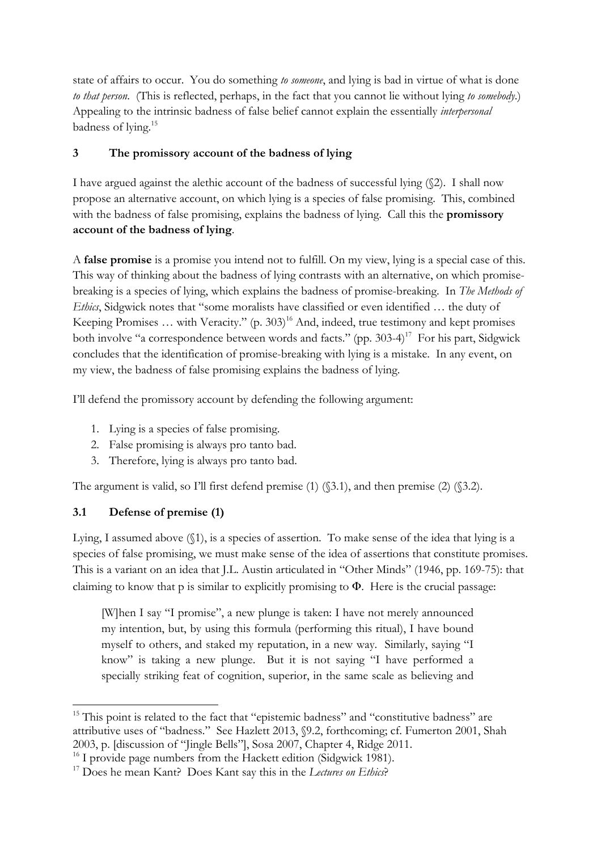state of affairs to occur. You do something *to someone*, and lying is bad in virtue of what is done *to that person*. (This is reflected, perhaps, in the fact that you cannot lie without lying *to somebody*.) Appealing to the intrinsic badness of false belief cannot explain the essentially *interpersonal* badness of lying.15

# **3 The promissory account of the badness of lying**

I have argued against the alethic account of the badness of successful lying (§2). I shall now propose an alternative account, on which lying is a species of false promising. This, combined with the badness of false promising, explains the badness of lying. Call this the **promissory account of the badness of lying**.

A **false promise** is a promise you intend not to fulfill. On my view, lying is a special case of this. This way of thinking about the badness of lying contrasts with an alternative, on which promisebreaking is a species of lying, which explains the badness of promise-breaking. In *The Methods of Ethics*, Sidgwick notes that "some moralists have classified or even identified … the duty of Keeping Promises ... with Veracity." (p. 303)<sup>16</sup> And, indeed, true testimony and kept promises both involve "a correspondence between words and facts." (pp.  $303-4$ )<sup>17</sup> For his part, Sidewick concludes that the identification of promise-breaking with lying is a mistake. In any event, on my view, the badness of false promising explains the badness of lying.

I'll defend the promissory account by defending the following argument:

- 1. Lying is a species of false promising.
- 2. False promising is always pro tanto bad.
- 3. Therefore, lying is always pro tanto bad.

The argument is valid, so I'll first defend premise (1) ( $\$ 3.1), and then premise (2) ( $\$ 3.2).

# **3.1 Defense of premise (1)**

Lying, I assumed above (§1), is a species of assertion. To make sense of the idea that lying is a species of false promising, we must make sense of the idea of assertions that constitute promises. This is a variant on an idea that J.L. Austin articulated in "Other Minds" (1946, pp. 169-75): that claiming to know that p is similar to explicitly promising to  $\Phi$ . Here is the crucial passage:

[W]hen I say "I promise", a new plunge is taken: I have not merely announced my intention, but, by using this formula (performing this ritual), I have bound myself to others, and staked my reputation, in a new way. Similarly, saying "I know" is taking a new plunge. But it is not saying "I have performed a specially striking feat of cognition, superior, in the same scale as believing and

<sup>!!!!!!!!!!!!!!!!!!!!!!!!!!!!!!!!!!!!!!!!!!!!!!!!!!!!!!!!!!!!</sup>  $15$  This point is related to the fact that "epistemic badness" and "constitutive badness" are attributive uses of "badness." See Hazlett 2013, §9.2, forthcoming; cf. Fumerton 2001, Shah 2003, p. [discussion of "Jingle Bells"], Sosa 2007, Chapter 4, Ridge 2011.

<sup>&</sup>lt;sup>17</sup> Does he mean Kant? Does Kant say this in the *Lectures on Ethics*?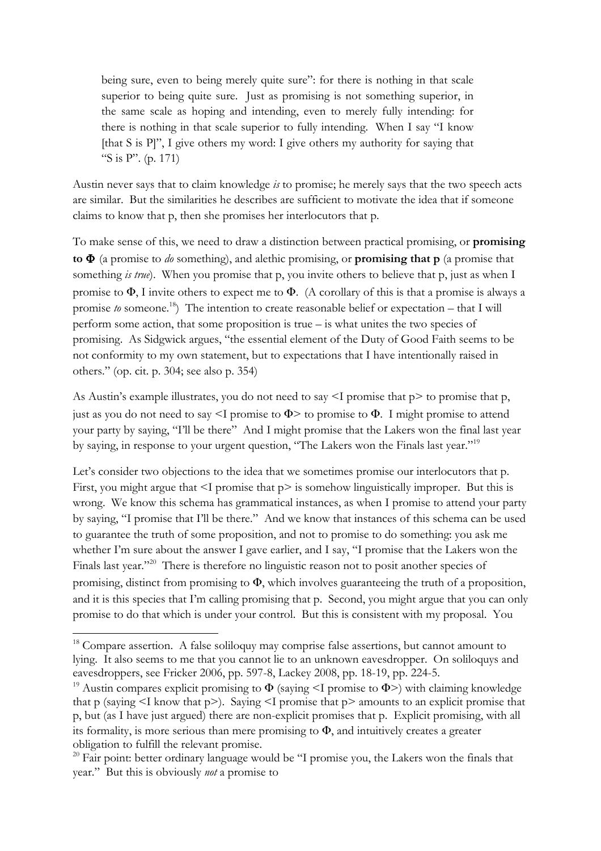being sure, even to being merely quite sure": for there is nothing in that scale superior to being quite sure. Just as promising is not something superior, in the same scale as hoping and intending, even to merely fully intending: for there is nothing in that scale superior to fully intending. When I say "I know [that S is P]", I give others my word: I give others my authority for saying that "S is P". (p. 171)

Austin never says that to claim knowledge *is* to promise; he merely says that the two speech acts are similar. But the similarities he describes are sufficient to motivate the idea that if someone claims to know that p, then she promises her interlocutors that p.

To make sense of this, we need to draw a distinction between practical promising, or **promising to** Φ (a promise to *do* something), and alethic promising, or **promising that p** (a promise that something *is true*). When you promise that p, you invite others to believe that p, just as when I promise to  $\Phi$ , I invite others to expect me to  $\Phi$ . (A corollary of this is that a promise is always a promise *to* someone.<sup>18</sup>) The intention to create reasonable belief or expectation – that I will perform some action, that some proposition is true – is what unites the two species of promising. As Sidgwick argues, "the essential element of the Duty of Good Faith seems to be not conformity to my own statement, but to expectations that I have intentionally raised in others." (op. cit. p. 304; see also p. 354)

As Austin's example illustrates, you do not need to say  $\leq I$  promise that p $>$  to promise that p, just as you do not need to say  $\leq I$  promise to  $\Phi$  to promise to  $\Phi$ . I might promise to attend your party by saying, "I'll be there" And I might promise that the Lakers won the final last year by saying, in response to your urgent question, "The Lakers won the Finals last year."19

Let's consider two objections to the idea that we sometimes promise our interlocutors that p. First, you might argue that  $\leq I$  promise that  $p > i$  s somehow linguistically improper. But this is wrong. We know this schema has grammatical instances, as when I promise to attend your party by saying, "I promise that I'll be there." And we know that instances of this schema can be used to guarantee the truth of some proposition, and not to promise to do something: you ask me whether I'm sure about the answer I gave earlier, and I say, "I promise that the Lakers won the Finals last year."<sup>20</sup> There is therefore no linguistic reason not to posit another species of promising, distinct from promising to Φ, which involves guaranteeing the truth of a proposition, and it is this species that I'm calling promising that p. Second, you might argue that you can only promise to do that which is under your control. But this is consistent with my proposal. You

<sup>&</sup>lt;sup>18</sup> Compare assertion. A false soliloquy may comprise false assertions, but cannot amount to lying. It also seems to me that you cannot lie to an unknown eavesdropper. On soliloquys and eavesdroppers, see Fricker 2006, pp. 597-8, Lackey 2008, pp. 18-19, pp. 224-5.

<sup>&</sup>lt;sup>19</sup> Austin compares explicit promising to  $\Phi$  (saying <I promise to  $\Phi$ >) with claiming knowledge that p (saying  $\leq I$  know that p $\geq$ ). Saying  $\leq I$  promise that p $\geq$  amounts to an explicit promise that p, but (as I have just argued) there are non-explicit promises that p. Explicit promising, with all its formality, is more serious than mere promising to Φ, and intuitively creates a greater obligation to fulfill the relevant promise.

 $20$  Fair point: better ordinary language would be "I promise you, the Lakers won the finals that year." But this is obviously *not* a promise to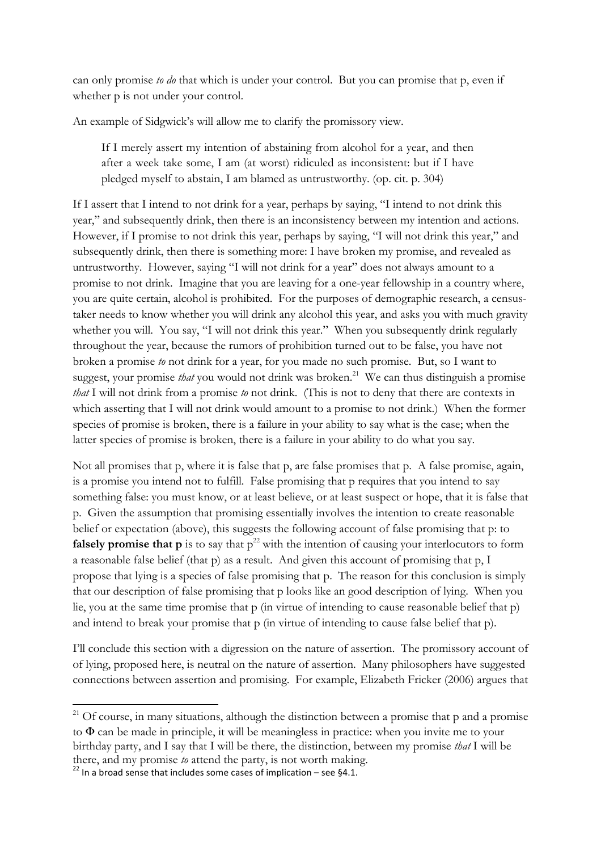can only promise *to do* that which is under your control. But you can promise that p, even if whether p is not under your control.

An example of Sidgwick's will allow me to clarify the promissory view.

If I merely assert my intention of abstaining from alcohol for a year, and then after a week take some, I am (at worst) ridiculed as inconsistent: but if I have pledged myself to abstain, I am blamed as untrustworthy. (op. cit. p. 304)

If I assert that I intend to not drink for a year, perhaps by saying, "I intend to not drink this year," and subsequently drink, then there is an inconsistency between my intention and actions. However, if I promise to not drink this year, perhaps by saying, "I will not drink this year," and subsequently drink, then there is something more: I have broken my promise, and revealed as untrustworthy. However, saying "I will not drink for a year" does not always amount to a promise to not drink. Imagine that you are leaving for a one-year fellowship in a country where, you are quite certain, alcohol is prohibited. For the purposes of demographic research, a censustaker needs to know whether you will drink any alcohol this year, and asks you with much gravity whether you will. You say, "I will not drink this year." When you subsequently drink regularly throughout the year, because the rumors of prohibition turned out to be false, you have not broken a promise *to* not drink for a year, for you made no such promise. But, so I want to suggest, your promise *that* you would not drink was broken. 21 We can thus distinguish a promise *that* I will not drink from a promise *to* not drink. (This is not to deny that there are contexts in which asserting that I will not drink would amount to a promise to not drink.) When the former species of promise is broken, there is a failure in your ability to say what is the case; when the latter species of promise is broken, there is a failure in your ability to do what you say.

Not all promises that p, where it is false that p, are false promises that p. A false promise, again, is a promise you intend not to fulfill. False promising that p requires that you intend to say something false: you must know, or at least believe, or at least suspect or hope, that it is false that p. Given the assumption that promising essentially involves the intention to create reasonable belief or expectation (above), this suggests the following account of false promising that p: to **falsely promise that p** is to say that  $p^{22}$  with the intention of causing your interlocutors to form a reasonable false belief (that p) as a result. And given this account of promising that p, I propose that lying is a species of false promising that p. The reason for this conclusion is simply that our description of false promising that p looks like an good description of lying. When you lie, you at the same time promise that p (in virtue of intending to cause reasonable belief that p) and intend to break your promise that p (in virtue of intending to cause false belief that p).

I'll conclude this section with a digression on the nature of assertion. The promissory account of of lying, proposed here, is neutral on the nature of assertion. Many philosophers have suggested connections between assertion and promising. For example, Elizabeth Fricker (2006) argues that

 $21$  Of course, in many situations, although the distinction between a promise that p and a promise to Φ can be made in principle, it will be meaningless in practice: when you invite me to your birthday party, and I say that I will be there, the distinction, between my promise *that* I will be there, and my promise *to* attend the party, is not worth making.<br><sup>22</sup> In a broad sense that includes some cases of implication – see §4.1.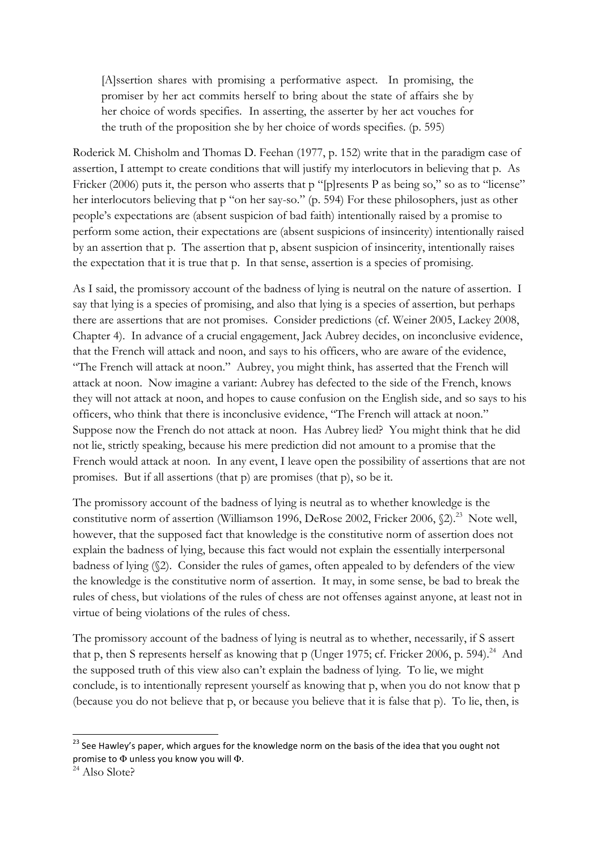[A]ssertion shares with promising a performative aspect. In promising, the promiser by her act commits herself to bring about the state of affairs she by her choice of words specifies. In asserting, the asserter by her act vouches for the truth of the proposition she by her choice of words specifies. (p. 595)

Roderick M. Chisholm and Thomas D. Feehan (1977, p. 152) write that in the paradigm case of assertion, I attempt to create conditions that will justify my interlocutors in believing that p. As Fricker (2006) puts it, the person who asserts that p "[p]resents P as being so," so as to "license" her interlocutors believing that p "on her say-so." (p. 594) For these philosophers, just as other people's expectations are (absent suspicion of bad faith) intentionally raised by a promise to perform some action, their expectations are (absent suspicions of insincerity) intentionally raised by an assertion that p. The assertion that p, absent suspicion of insincerity, intentionally raises the expectation that it is true that p. In that sense, assertion is a species of promising.

As I said, the promissory account of the badness of lying is neutral on the nature of assertion. I say that lying is a species of promising, and also that lying is a species of assertion, but perhaps there are assertions that are not promises. Consider predictions (cf. Weiner 2005, Lackey 2008, Chapter 4). In advance of a crucial engagement, Jack Aubrey decides, on inconclusive evidence, that the French will attack and noon, and says to his officers, who are aware of the evidence, "The French will attack at noon." Aubrey, you might think, has asserted that the French will attack at noon. Now imagine a variant: Aubrey has defected to the side of the French, knows they will not attack at noon, and hopes to cause confusion on the English side, and so says to his officers, who think that there is inconclusive evidence, "The French will attack at noon." Suppose now the French do not attack at noon. Has Aubrey lied? You might think that he did not lie, strictly speaking, because his mere prediction did not amount to a promise that the French would attack at noon. In any event, I leave open the possibility of assertions that are not promises. But if all assertions (that p) are promises (that p), so be it.

The promissory account of the badness of lying is neutral as to whether knowledge is the constitutive norm of assertion (Williamson 1996, DeRose 2002, Fricker 2006,  $(2)^{23}$  Note well, however, that the supposed fact that knowledge is the constitutive norm of assertion does not explain the badness of lying, because this fact would not explain the essentially interpersonal badness of lying (§2). Consider the rules of games, often appealed to by defenders of the view the knowledge is the constitutive norm of assertion. It may, in some sense, be bad to break the rules of chess, but violations of the rules of chess are not offenses against anyone, at least not in virtue of being violations of the rules of chess.

The promissory account of the badness of lying is neutral as to whether, necessarily, if S assert that p, then S represents herself as knowing that p (Unger 1975; cf. Fricker 2006, p. 594).<sup>24</sup> And the supposed truth of this view also can't explain the badness of lying. To lie, we might conclude, is to intentionally represent yourself as knowing that p, when you do not know that p (because you do not believe that p, or because you believe that it is false that p). To lie, then, is

<sup>&</sup>lt;sup>23</sup> See Hawley's paper, which argues for the knowledge norm on the basis of the idea that you ought not promise to  $\Phi$  unless you know you will  $\Phi$ .<br><sup>24</sup> Also Slote?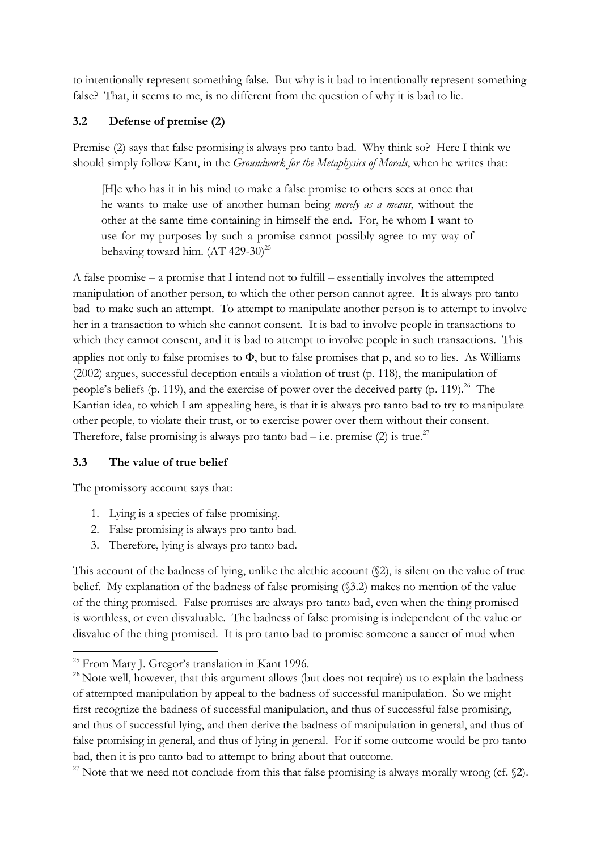to intentionally represent something false. But why is it bad to intentionally represent something false? That, it seems to me, is no different from the question of why it is bad to lie.

# **3.2 Defense of premise (2)**

Premise (2) says that false promising is always pro tanto bad. Why think so? Here I think we should simply follow Kant, in the *Groundwork for the Metaphysics of Morals*, when he writes that:

[H]e who has it in his mind to make a false promise to others sees at once that he wants to make use of another human being *merely as a means*, without the other at the same time containing in himself the end. For, he whom I want to use for my purposes by such a promise cannot possibly agree to my way of behaving toward him.  $(AT 429-30)^{25}$ 

A false promise – a promise that I intend not to fulfill – essentially involves the attempted manipulation of another person, to which the other person cannot agree. It is always pro tanto bad to make such an attempt. To attempt to manipulate another person is to attempt to involve her in a transaction to which she cannot consent. It is bad to involve people in transactions to which they cannot consent, and it is bad to attempt to involve people in such transactions. This applies not only to false promises to  $\Phi$ , but to false promises that p, and so to lies. As Williams (2002) argues, successful deception entails a violation of trust (p. 118), the manipulation of people's beliefs (p. 119), and the exercise of power over the deceived party (p. 119).<sup>26</sup> The Kantian idea, to which I am appealing here, is that it is always pro tanto bad to try to manipulate other people, to violate their trust, or to exercise power over them without their consent. Therefore, false promising is always pro tanto bad  $-$  i.e. premise (2) is true.<sup>27</sup>

### **3.3 The value of true belief**

The promissory account says that:

- 1. Lying is a species of false promising.
- 2. False promising is always pro tanto bad.
- 3. Therefore, lying is always pro tanto bad.

This account of the badness of lying, unlike the alethic account (§2), is silent on the value of true belief. My explanation of the badness of false promising (§3.2) makes no mention of the value of the thing promised. False promises are always pro tanto bad, even when the thing promised is worthless, or even disvaluable. The badness of false promising is independent of the value or disvalue of the thing promised. It is pro tanto bad to promise someone a saucer of mud when

<sup>!!!!!!!!!!!!!!!!!!!!!!!!!!!!!!!!!!!!!!!!!!!!!!!!!!!!!!!!!!!!</sup> <sup>25</sup> From Mary J. Gregor's translation in Kant 1996.

<sup>&</sup>lt;sup>26</sup> Note well, however, that this argument allows (but does not require) us to explain the badness of attempted manipulation by appeal to the badness of successful manipulation. So we might first recognize the badness of successful manipulation, and thus of successful false promising, and thus of successful lying, and then derive the badness of manipulation in general, and thus of false promising in general, and thus of lying in general. For if some outcome would be pro tanto bad, then it is pro tanto bad to attempt to bring about that outcome.

<sup>&</sup>lt;sup>27</sup> Note that we need not conclude from this that false promising is always morally wrong (cf.  $\S$ 2).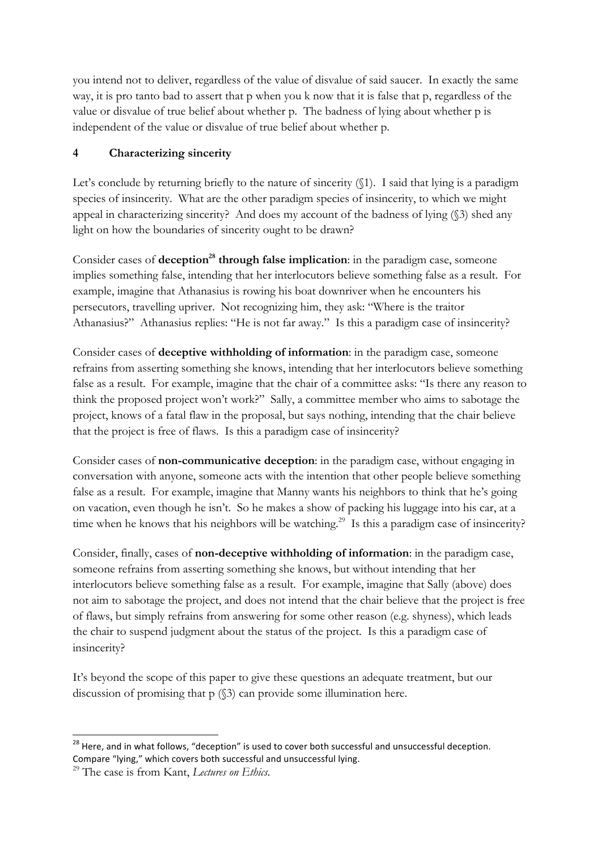you intend not to deliver, regardless of the value of disvalue of said saucer. In exactly the same way, it is pro tanto bad to assert that p when you k now that it is false that p, regardless of the value or disvalue of true belief about whether p. The badness of lying about whether p is independent of the value or disvalue of true belief about whether p.

# **4 Characterizing sincerity**

Let's conclude by returning briefly to the nature of sincerity ( $\$ {1}). I said that lying is a paradigm species of insincerity. What are the other paradigm species of insincerity, to which we might appeal in characterizing sincerity? And does my account of the badness of lying (§3) shed any light on how the boundaries of sincerity ought to be drawn?

Consider cases of **deception<sup>28</sup> through false implication**: in the paradigm case, someone implies something false, intending that her interlocutors believe something false as a result. For example, imagine that Athanasius is rowing his boat downriver when he encounters his persecutors, travelling upriver. Not recognizing him, they ask: "Where is the traitor Athanasius?" Athanasius replies: "He is not far away." Is this a paradigm case of insincerity?

Consider cases of **deceptive withholding of information**: in the paradigm case, someone refrains from asserting something she knows, intending that her interlocutors believe something false as a result. For example, imagine that the chair of a committee asks: "Is there any reason to think the proposed project won't work?" Sally, a committee member who aims to sabotage the project, knows of a fatal flaw in the proposal, but says nothing, intending that the chair believe that the project is free of flaws. Is this a paradigm case of insincerity?

Consider cases of **non-communicative deception**: in the paradigm case, without engaging in conversation with anyone, someone acts with the intention that other people believe something false as a result. For example, imagine that Manny wants his neighbors to think that he's going on vacation, even though he isn't. So he makes a show of packing his luggage into his car, at a time when he knows that his neighbors will be watching.<sup>29</sup> Is this a paradigm case of insincerity?

Consider, finally, cases of **non-deceptive withholding of information**: in the paradigm case, someone refrains from asserting something she knows, but without intending that her interlocutors believe something false as a result. For example, imagine that Sally (above) does not aim to sabotage the project, and does not intend that the chair believe that the project is free of flaws, but simply refrains from answering for some other reason (e.g. shyness), which leads the chair to suspend judgment about the status of the project. Is this a paradigm case of insincerity?

It's beyond the scope of this paper to give these questions an adequate treatment, but our discussion of promising that p (§3) can provide some illumination here.

<sup>&</sup>lt;sup>28</sup> Here, and in what follows, "deception" is used to cover both successful and unsuccessful deception. Compare "lying," which covers both successful and unsuccessful lying.

<sup>29</sup> The case is from Kant, *Lectures on Ethics*.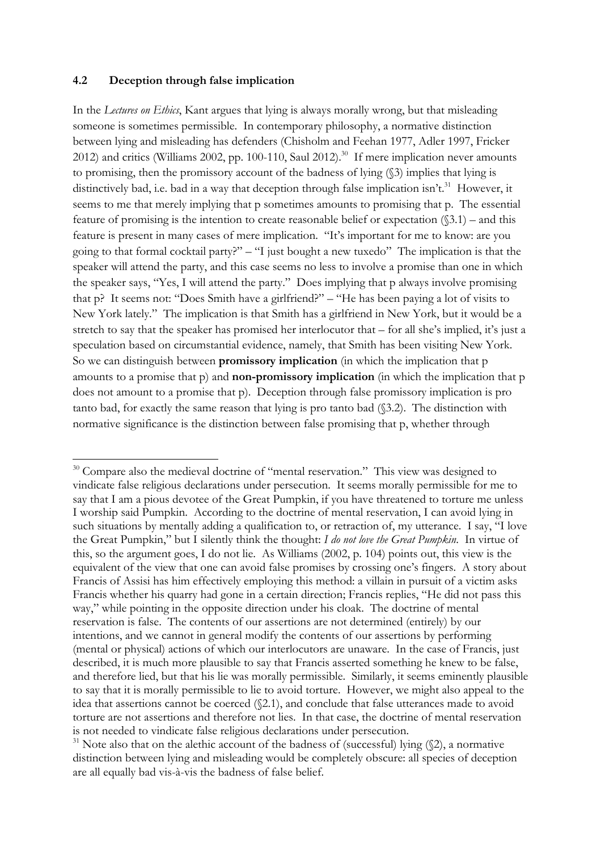#### **4.2 Deception through false implication**

!!!!!!!!!!!!!!!!!!!!!!!!!!!!!!!!!!!!!!!!!!!!!!!!!!!!!!!!!!!!

In the *Lectures on Ethics*, Kant argues that lying is always morally wrong, but that misleading someone is sometimes permissible. In contemporary philosophy, a normative distinction between lying and misleading has defenders (Chisholm and Feehan 1977, Adler 1997, Fricker 2012) and critics (Williams 2002, pp. 100-110, Saul 2012).<sup>30</sup> If mere implication never amounts to promising, then the promissory account of the badness of lying (§3) implies that lying is distinctively bad, i.e. bad in a way that deception through false implication isn't.<sup>31</sup> However, it seems to me that merely implying that p sometimes amounts to promising that p. The essential feature of promising is the intention to create reasonable belief or expectation  $(\$3.1)$  – and this feature is present in many cases of mere implication. "It's important for me to know: are you going to that formal cocktail party?" – "I just bought a new tuxedo" The implication is that the speaker will attend the party, and this case seems no less to involve a promise than one in which the speaker says, "Yes, I will attend the party." Does implying that p always involve promising that p? It seems not: "Does Smith have a girlfriend?" – "He has been paying a lot of visits to New York lately." The implication is that Smith has a girlfriend in New York, but it would be a stretch to say that the speaker has promised her interlocutor that – for all she's implied, it's just a speculation based on circumstantial evidence, namely, that Smith has been visiting New York. So we can distinguish between **promissory implication** (in which the implication that p amounts to a promise that p) and **non-promissory implication** (in which the implication that p does not amount to a promise that p). Deception through false promissory implication is pro tanto bad, for exactly the same reason that lying is pro tanto bad (§3.2). The distinction with normative significance is the distinction between false promising that p, whether through

<sup>&</sup>lt;sup>30</sup> Compare also the medieval doctrine of "mental reservation." This view was designed to vindicate false religious declarations under persecution. It seems morally permissible for me to say that I am a pious devotee of the Great Pumpkin, if you have threatened to torture me unless I worship said Pumpkin. According to the doctrine of mental reservation, I can avoid lying in such situations by mentally adding a qualification to, or retraction of, my utterance. I say, "I love the Great Pumpkin," but I silently think the thought: *I do not love the Great Pumpkin*. In virtue of this, so the argument goes, I do not lie. As Williams (2002, p. 104) points out, this view is the equivalent of the view that one can avoid false promises by crossing one's fingers. A story about Francis of Assisi has him effectively employing this method: a villain in pursuit of a victim asks Francis whether his quarry had gone in a certain direction; Francis replies, "He did not pass this way," while pointing in the opposite direction under his cloak. The doctrine of mental reservation is false. The contents of our assertions are not determined (entirely) by our intentions, and we cannot in general modify the contents of our assertions by performing (mental or physical) actions of which our interlocutors are unaware. In the case of Francis, just described, it is much more plausible to say that Francis asserted something he knew to be false, and therefore lied, but that his lie was morally permissible. Similarly, it seems eminently plausible to say that it is morally permissible to lie to avoid torture. However, we might also appeal to the idea that assertions cannot be coerced (§2.1), and conclude that false utterances made to avoid torture are not assertions and therefore not lies. In that case, the doctrine of mental reservation is not needed to vindicate false religious declarations under persecution.

 $31$  Note also that on the alethic account of the badness of (successful) lying ( $\Diamond$ 2), a normative distinction between lying and misleading would be completely obscure: all species of deception are all equally bad vis-à-vis the badness of false belief.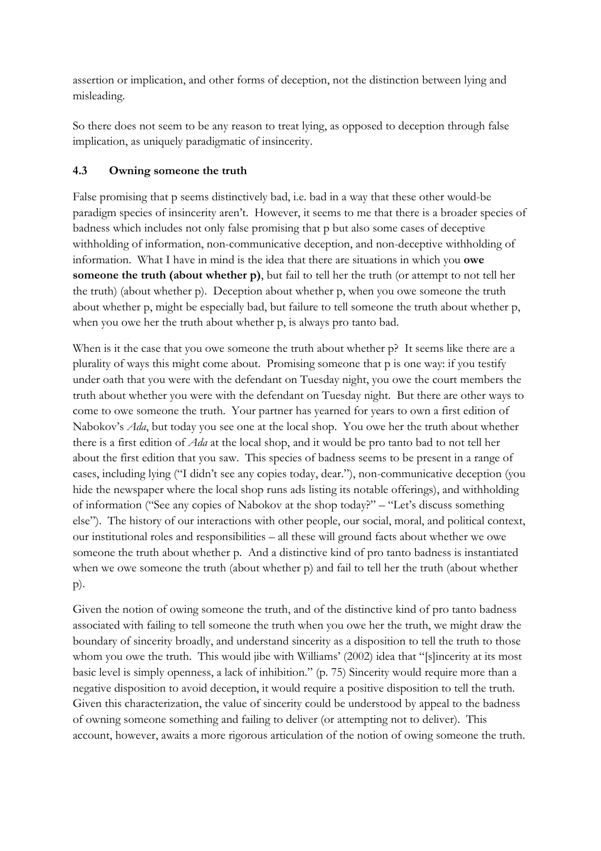assertion or implication, and other forms of deception, not the distinction between lying and misleading.

So there does not seem to be any reason to treat lying, as opposed to deception through false implication, as uniquely paradigmatic of insincerity.

# **4.3 Owning someone the truth**

False promising that p seems distinctively bad, i.e. bad in a way that these other would-be paradigm species of insincerity aren't. However, it seems to me that there is a broader species of badness which includes not only false promising that p but also some cases of deceptive withholding of information, non-communicative deception, and non-deceptive withholding of information. What I have in mind is the idea that there are situations in which you **owe someone the truth (about whether p)**, but fail to tell her the truth (or attempt to not tell her the truth) (about whether p). Deception about whether p, when you owe someone the truth about whether p, might be especially bad, but failure to tell someone the truth about whether p, when you owe her the truth about whether p, is always pro tanto bad.

When is it the case that you owe someone the truth about whether  $p$ ? It seems like there are a plurality of ways this might come about. Promising someone that p is one way: if you testify under oath that you were with the defendant on Tuesday night, you owe the court members the truth about whether you were with the defendant on Tuesday night. But there are other ways to come to owe someone the truth. Your partner has yearned for years to own a first edition of Nabokov's *Ada*, but today you see one at the local shop. You owe her the truth about whether there is a first edition of *Ada* at the local shop, and it would be pro tanto bad to not tell her about the first edition that you saw. This species of badness seems to be present in a range of cases, including lying ("I didn't see any copies today, dear."), non-communicative deception (you hide the newspaper where the local shop runs ads listing its notable offerings), and withholding of information ("See any copies of Nabokov at the shop today?" – "Let's discuss something else"). The history of our interactions with other people, our social, moral, and political context, our institutional roles and responsibilities – all these will ground facts about whether we owe someone the truth about whether p. And a distinctive kind of pro tanto badness is instantiated when we owe someone the truth (about whether p) and fail to tell her the truth (about whether p).

Given the notion of owing someone the truth, and of the distinctive kind of pro tanto badness associated with failing to tell someone the truth when you owe her the truth, we might draw the boundary of sincerity broadly, and understand sincerity as a disposition to tell the truth to those whom you owe the truth. This would jibe with Williams' (2002) idea that "[s]incerity at its most basic level is simply openness, a lack of inhibition." (p. 75) Sincerity would require more than a negative disposition to avoid deception, it would require a positive disposition to tell the truth. Given this characterization, the value of sincerity could be understood by appeal to the badness of owning someone something and failing to deliver (or attempting not to deliver). This account, however, awaits a more rigorous articulation of the notion of owing someone the truth.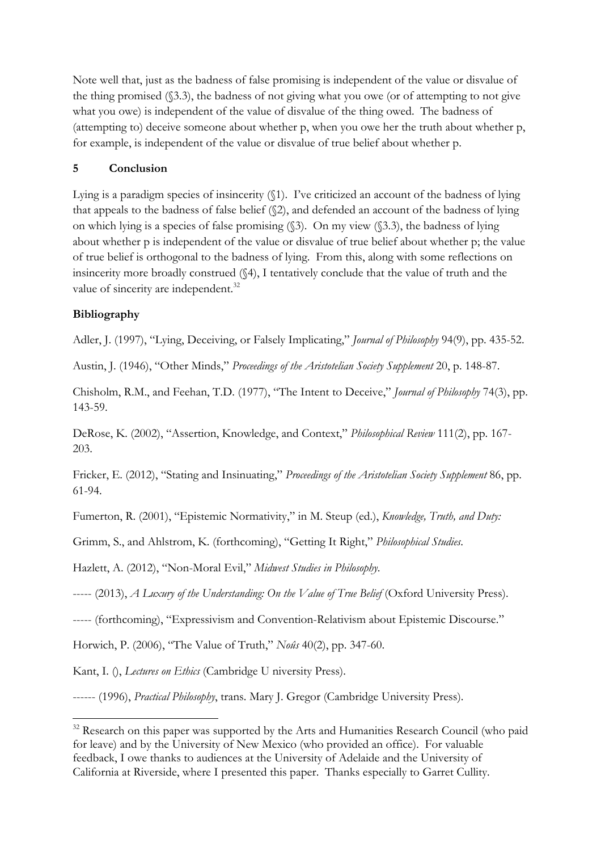Note well that, just as the badness of false promising is independent of the value or disvalue of the thing promised (§3.3), the badness of not giving what you owe (or of attempting to not give what you owe) is independent of the value of disvalue of the thing owed. The badness of (attempting to) deceive someone about whether p, when you owe her the truth about whether p, for example, is independent of the value or disvalue of true belief about whether p.

### **5 Conclusion**

Lying is a paradigm species of insincerity (§1). I've criticized an account of the badness of lying that appeals to the badness of false belief (§2), and defended an account of the badness of lying on which lying is a species of false promising (§3). On my view (§3.3), the badness of lying about whether p is independent of the value or disvalue of true belief about whether p; the value of true belief is orthogonal to the badness of lying. From this, along with some reflections on insincerity more broadly construed (§4), I tentatively conclude that the value of truth and the value of sincerity are independent.<sup>32</sup>

### **Bibliography**

Adler, J. (1997), "Lying, Deceiving, or Falsely Implicating," *Journal of Philosophy* 94(9), pp. 435-52.

Austin, J. (1946), "Other Minds," *Proceedings of the Aristotelian Society Supplement* 20, p. 148-87.

Chisholm, R.M., and Feehan, T.D. (1977), "The Intent to Deceive," *Journal of Philosophy* 74(3), pp. 143-59.

DeRose, K. (2002), "Assertion, Knowledge, and Context," *Philosophical Review* 111(2), pp. 167- 203.

Fricker, E. (2012), "Stating and Insinuating," *Proceedings of the Aristotelian Society Supplement* 86, pp. 61-94.

Fumerton, R. (2001), "Epistemic Normativity," in M. Steup (ed.), *Knowledge, Truth, and Duty:* 

Grimm, S., and Ahlstrom, K. (forthcoming), "Getting It Right," *Philosophical Studies*.

Hazlett, A. (2012), "Non-Moral Evil," *Midwest Studies in Philosophy*.

----- (2013), *A Luxury of the Understanding: On the Value of True Belief* (Oxford University Press).

----- (forthcoming), "Expressivism and Convention-Relativism about Epistemic Discourse."

Horwich, P. (2006), "The Value of Truth," *Noûs* 40(2), pp. 347-60.

Kant, I. (), *Lectures on Ethics* (Cambridge U niversity Press).

!!!!!!!!!!!!!!!!!!!!!!!!!!!!!!!!!!!!!!!!!!!!!!!!!!!!!!!!!!!!

------ (1996), *Practical Philosophy*, trans. Mary J. Gregor (Cambridge University Press).

 $32$  Research on this paper was supported by the Arts and Humanities Research Council (who paid for leave) and by the University of New Mexico (who provided an office). For valuable feedback, I owe thanks to audiences at the University of Adelaide and the University of California at Riverside, where I presented this paper. Thanks especially to Garret Cullity.